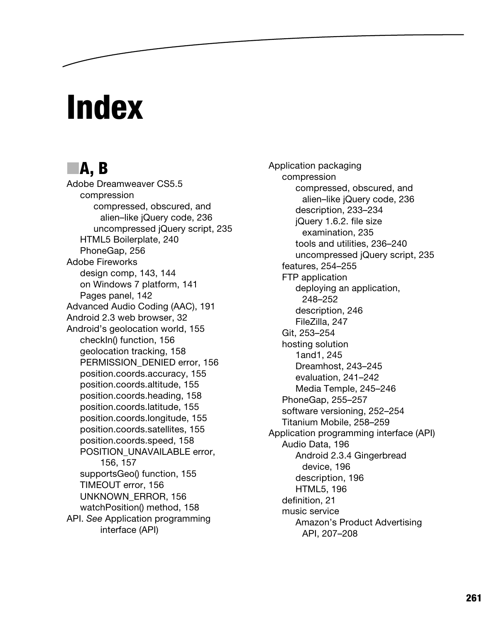# **Index**

## ■**A, B**

Adobe Dreamweaver CS5.5 compression compressed, obscured, and alien–like jQuery code, 236 uncompressed jQuery script, 235 HTML5 Boilerplate, 240 PhoneGap, 256 Adobe Fireworks design comp, 143, 144 on Windows 7 platform, 141 Pages panel, 142 Advanced Audio Coding (AAC), 191 Android 2.3 web browser, 32 Android's geolocation world, 155 checkIn() function, 156 geolocation tracking, 158 PERMISSION\_DENIED error, 156 position.coords.accuracy, 155 position.coords.altitude, 155 position.coords.heading, 158 position.coords.latitude, 155 position.coords.longitude, 155 position.coords.satellites, 155 position.coords.speed, 158 POSITION\_UNAVAILABLE error, 156, 157 supportsGeo() function, 155 TIMEOUT error, 156 UNKNOWN**\_**ERROR, 156 watchPosition() method, 158 API. *See* Application programming interface (API)

Application packaging compression compressed, obscured, and alien–like jQuery code, 236 description, 233–234 jQuery 1.6.2. file size examination, 235 tools and utilities, 236–240 uncompressed jQuery script, 235 features, 254–255 FTP application deploying an application, 248–252 description, 246 FileZilla, 247 Git, 253–254 hosting solution 1and1, 245 Dreamhost, 243–245 evaluation, 241–242 Media Temple, 245–246 PhoneGap, 255–257 software versioning, 252–254 Titanium Mobile, 258–259 Application programming interface (API) Audio Data, 196 Android 2.3.4 Gingerbread device, 196 description, 196 HTML5, 196 definition, 21 music service Amazon's Product Advertising API, 207–208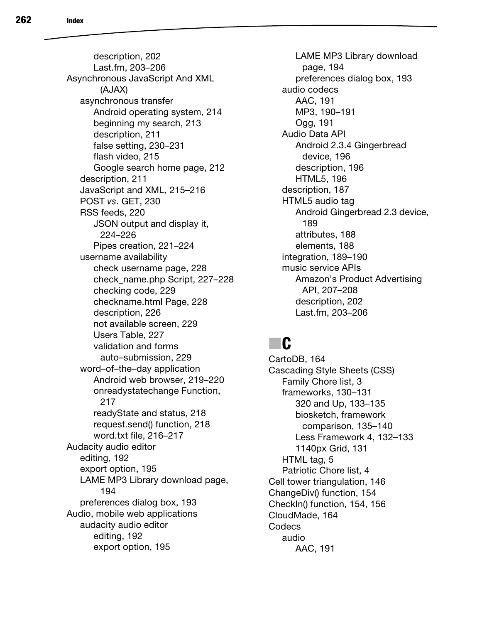description, 202 Last.fm, 203–206 Asynchronous JavaScript And XML (AJAX) asynchronous transfer Android operating system, 214 beginning my search, 213 description, 211 false setting, 230–231 flash video, 215 Google search home page, 212 description, 211 JavaScript and XML, 215–216 POST *vs*. GET, 230 RSS feeds, 220 JSON output and display it, 224–226 Pipes creation, 221–224 username availability check username page, 228 check\_name.php Script, 227–228 checking code, 229 checkname.html Page, 228 description, 226 not available screen, 229 Users Table, 227 validation and forms auto–submission, 229 word–of–the–day application Android web browser, 219–220 onreadystatechange Function, 217 readyState and status, 218 request.send() function, 218 word.txt file, 216–217 Audacity audio editor editing, 192 export option, 195 LAME MP3 Library download page, 194 preferences dialog box, 193 Audio, mobile web applications audacity audio editor editing, 192 export option, 195

LAME MP3 Library download page, 194 preferences dialog box, 193 audio codecs AAC, 191 MP3, 190–191 Ogg, 191 Audio Data API Android 2.3.4 Gingerbread device, 196 description, 196 HTML5, 196 description, 187 HTML5 audio tag Android Gingerbread 2.3 device, 189 attributes, 188 elements, 188 integration, 189–190 music service APIs Amazon's Product Advertising API, 207–208 description, 202 Last.fm, 203–206

## ■**C**

CartoDB, 164 Cascading Style Sheets (CSS) Family Chore list, 3 frameworks, 130–131 320 and Up, 133–135 biosketch, framework comparison, 135–140 Less Framework 4, 132–133 1140px Grid, 131 HTML tag, 5 Patriotic Chore list, 4 Cell tower triangulation, 146 ChangeDiv() function, 154 CheckIn() function, 154, 156 CloudMade, 164 Codecs audio AAC, 191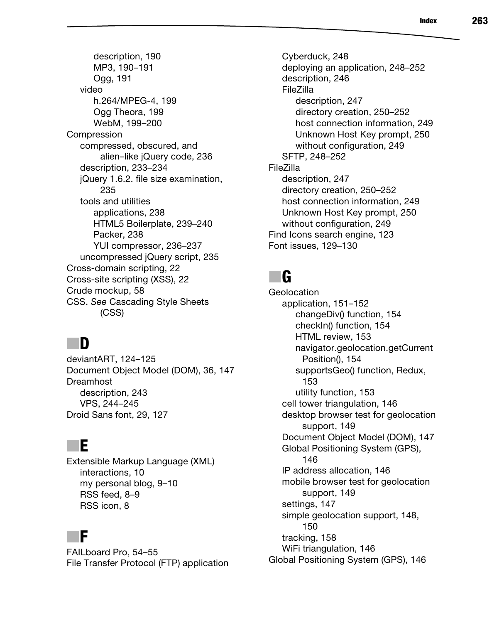description, 190 MP3, 190–191 Ogg, 191 video h.264/MPEG-4, 199 Ogg Theora, 199 WebM, 199–200 Compression compressed, obscured, and alien–like jQuery code, 236 description, 233–234 jQuery 1.6.2. file size examination, 235 tools and utilities applications, 238 HTML5 Boilerplate, 239–240 Packer, 238 YUI compressor, 236–237 uncompressed jQuery script, 235 Cross-domain scripting, 22 Cross-site scripting (XSS), 22 Crude mockup, 58 CSS. *See* Cascading Style Sheets (CSS)

## ■**D**

deviantART, 124–125 Document Object Model (DOM), 36, 147 Dreamhost description, 243 VPS, 244–245 Droid Sans font, 29, 127

### ■**E**

Extensible Markup Language (XML) interactions, 10 my personal blog, 9–10 RSS feed, 8–9 RSS icon, 8

#### ■**F**

FAILboard Pro, 54–55 File Transfer Protocol (FTP) application

Cyberduck, 248 deploying an application, 248–252 description, 246 FileZilla description, 247 directory creation, 250–252 host connection information, 249 Unknown Host Key prompt, 250 without configuration, 249 SFTP, 248–252 FileZilla description, 247 directory creation, 250–252 host connection information, 249 Unknown Host Key prompt, 250 without configuration, 249 Find Icons search engine, 123 Font issues, 129–130

## ■**G**

**Geolocation** application, 151–152 changeDiv() function, 154 checkIn() function, 154 HTML review, 153 navigator.geolocation.getCurrent Position(), 154 supportsGeo() function, Redux, 153 utility function, 153 cell tower triangulation, 146 desktop browser test for geolocation support, 149 Document Object Model (DOM), 147 Global Positioning System (GPS), 146 IP address allocation, 146 mobile browser test for geolocation support, 149 settings, 147 simple geolocation support, 148, 150 tracking, 158 WiFi triangulation, 146 Global Positioning System (GPS), 146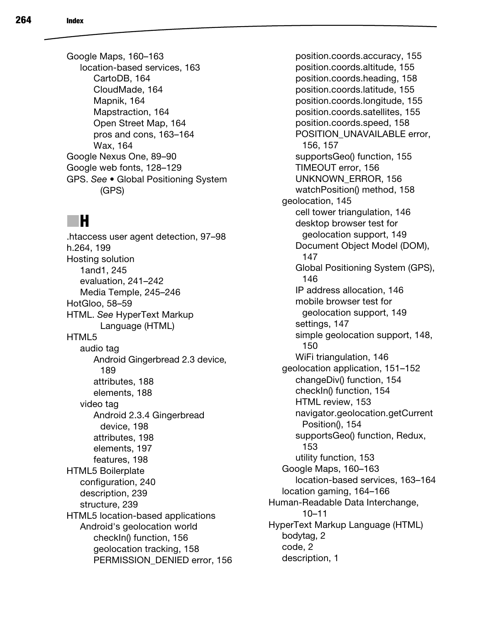Google Maps, 160–163 location-based services, 163 CartoDB, 164 CloudMade, 164 Mapnik, 164 Mapstraction, 164 Open Street Map, 164 pros and cons, 163–164 Wax, 164 Google Nexus One, 89–90 Google web fonts, 128–129 GPS. *See* **•** Global Positioning System (GPS)

## ■**H**

.htaccess user agent detection, 97–98 h.264, 199 Hosting solution 1and1, 245 evaluation, 241–242 Media Temple, 245–246 HotGloo, 58–59 HTML. *See* HyperText Markup Language (HTML) HTML5 audio tag Android Gingerbread 2.3 device, 189 attributes, 188 elements, 188 video tag Android 2.3.4 Gingerbread device, 198 attributes, 198 elements, 197 features, 198 HTML5 Boilerplate configuration, 240 description, 239 structure, 239 HTML5 location-based applications Android's geolocation world checkIn() function, 156 geolocation tracking, 158 PERMISSION\_DENIED error, 156

position.coords.accuracy, 155 position.coords.altitude, 155 position.coords.heading, 158 position.coords.latitude, 155 position.coords.longitude, 155 position.coords.satellites, 155 position.coords.speed, 158 POSITION\_UNAVAILABLE error, 156, 157 supportsGeo() function, 155 TIMEOUT error, 156 UNKNOWN\_ERROR, 156 watchPosition() method, 158 geolocation, 145 cell tower triangulation, 146 desktop browser test for geolocation support, 149 Document Object Model (DOM), 147 Global Positioning System (GPS), 146 IP address allocation, 146 mobile browser test for geolocation support, 149 settings, 147 simple geolocation support, 148, 150 WiFi triangulation, 146 geolocation application, 151–152 changeDiv() function, 154 checkIn() function, 154 HTML review, 153 navigator.geolocation.getCurrent Position(), 154 supportsGeo() function, Redux, 153 utility function, 153 Google Maps, 160–163 location-based services, 163–164 location gaming, 164–166 Human-Readable Data Interchange, 10–11 HyperText Markup Language (HTML) bodytag, 2 code, 2 description, 1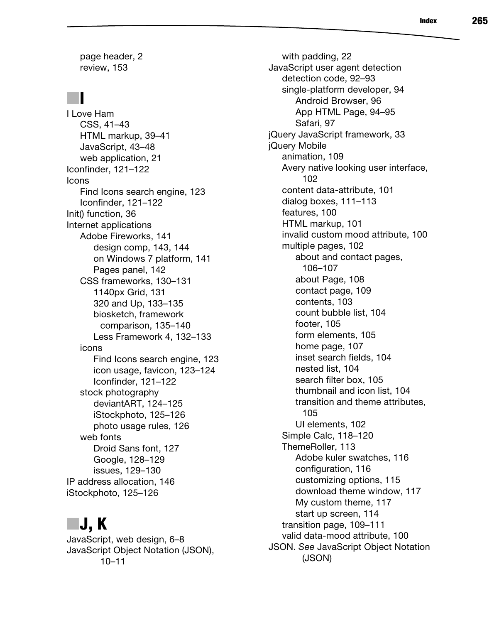page header, 2 review, 153

## ■ **I**

I Love Ham CSS, 41–43 HTML markup, 39–41 JavaScript, 43–48 web application, 21 Iconfinder, 121–122 Icons Find Icons search engine, 123 Iconfinder, 121–122 Init() function, 36 Internet applications Adobe Fireworks, 141 design comp, 143, 144 on Windows 7 platform, 141 Pages panel, 142 CSS frameworks, 130–131 1140px Grid, 131 320 and Up, 133–135 biosketch, framework comparison, 135–140 Less Framework 4, 132–133 icons Find Icons search engine, 123 icon usage, favicon, 123–124 Iconfinder, 121–122 stock photography deviantART, 124–125 iStockphoto, 125–126 photo usage rules, 126 web fonts Droid Sans font, 127 Google, 128–129 issues, 129–130 IP address allocation, 146 iStockphoto, 125–126

## ■**J, K**

JavaScript, web design, 6–8 JavaScript Object Notation (JSON), 10–11

with padding, 22 JavaScript user agent detection detection code, 92–93 single-platform developer, 94 Android Browser, 96 App HTML Page, 94–95 Safari, 97 jQuery JavaScript framework, 33 jQuery Mobile animation, 109 Avery native looking user interface, 102 content data-attribute, 101 dialog boxes, 111–113 features, 100 HTML markup, 101 invalid custom mood attribute, 100 multiple pages, 102 about and contact pages, 106–107 about Page, 108 contact page, 109 contents, 103 count bubble list, 104 footer, 105 form elements, 105 home page, 107 inset search fields, 104 nested list, 104 search filter box, 105 thumbnail and icon list, 104 transition and theme attributes, 105 UI elements, 102 Simple Calc, 118–120 ThemeRoller, 113 Adobe kuler swatches, 116 configuration, 116 customizing options, 115 download theme window, 117 My custom theme, 117 start up screen, 114 transition page, 109–111 valid data-mood attribute, 100 JSON. *See* JavaScript Object Notation (JSON)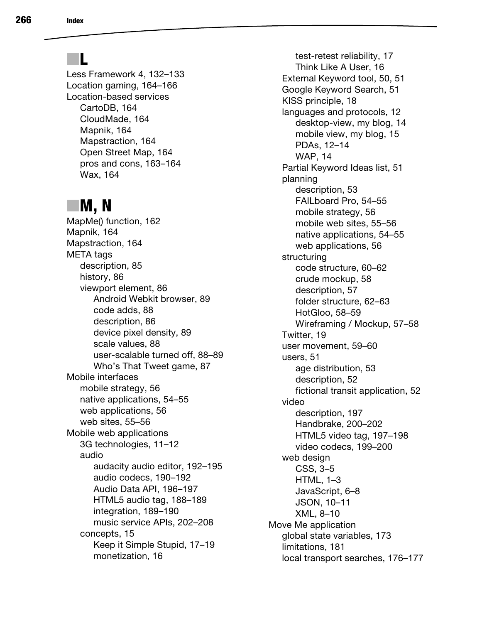## ■**L**

Less Framework 4, 132–133 Location gaming, 164–166 Location-based services CartoDB, 164 CloudMade, 164 Mapnik, 164 Mapstraction, 164 Open Street Map, 164 pros and cons, 163–164 Wax, 164

#### ■**M, N**

MapMe() function, 162 Mapnik, 164 Mapstraction, 164 META tags description, 85 history, 86 viewport element, 86 Android Webkit browser, 89 code adds, 88 description, 86 device pixel density, 89 scale values, 88 user-scalable turned off, 88–89 Who's That Tweet game, 87 Mobile interfaces mobile strategy, 56 native applications, 54–55 web applications, 56 web sites, 55–56 Mobile web applications 3G technologies, 11–12 audio audacity audio editor, 192–195 audio codecs, 190–192 Audio Data API, 196–197 HTML5 audio tag, 188–189 integration, 189–190 music service APIs, 202–208 concepts, 15 Keep it Simple Stupid, 17–19 monetization, 16

test-retest reliability, 17 Think Like A User, 16 External Keyword tool, 50, 51 Google Keyword Search, 51 KISS principle, 18 languages and protocols, 12 desktop-view, my blog, 14 mobile view, my blog, 15 PDAs, 12–14 WAP, 14 Partial Keyword Ideas list, 51 planning description, 53 FAILboard Pro, 54–55 mobile strategy, 56 mobile web sites, 55–56 native applications, 54–55 web applications, 56 structuring code structure, 60–62 crude mockup, 58 description, 57 folder structure, 62–63 HotGloo, 58–59 Wireframing / Mockup, 57–58 Twitter, 19 user movement, 59–60 users, 51 age distribution, 53 description, 52 fictional transit application, 52 video description, 197 Handbrake, 200–202 HTML5 video tag, 197–198 video codecs, 199–200 web design CSS, 3–5 HTML, 1–3 JavaScript, 6–8 JSON, 10–11 XML, 8–10 Move Me application global state variables, 173 limitations, 181 local transport searches, 176–177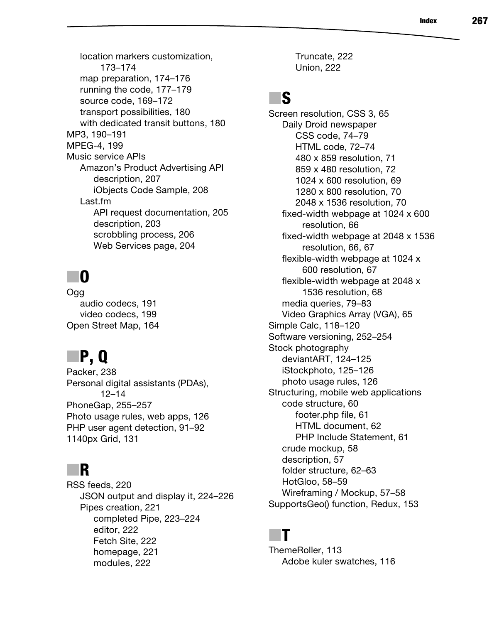location markers customization, 173–174 map preparation, 174–176 running the code, 177–179 source code, 169–172 transport possibilities, 180 with dedicated transit buttons, 180 MP3, 190–191 MPEG-4, 199 Music service APIs Amazon's Product Advertising API description, 207 iObjects Code Sample, 208 Last.fm API request documentation, 205 description, 203 scrobbling process, 206 Web Services page, 204

## ■**O**

Ogg audio codecs, 191 video codecs, 199 Open Street Map, 164

## ■**P, Q**

Packer, 238 Personal digital assistants (PDAs), 12–14 PhoneGap, 255–257 Photo usage rules, web apps, 126 PHP user agent detection, 91–92 1140px Grid, 131

#### ■**R**

RSS feeds, 220 JSON output and display it, 224–226 Pipes creation, 221 completed Pipe, 223–224 editor, 222 Fetch Site, 222 homepage, 221 modules, 222

Truncate, 222 Union, 222

## ■**S**

Screen resolution, CSS 3, 65 Daily Droid newspaper CSS code, 74–79 HTML code, 72–74 480 x 859 resolution, 71 859 x 480 resolution, 72 1024 x 600 resolution, 69 1280 x 800 resolution, 70 2048 x 1536 resolution, 70 fixed-width webpage at 1024 x 600 resolution, 66 fixed-width webpage at 2048 x 1536 resolution, 66, 67 flexible-width webpage at 1024 x 600 resolution, 67 flexible-width webpage at 2048 x 1536 resolution, 68 media queries, 79–83 Video Graphics Array (VGA), 65 Simple Calc, 118–120 Software versioning, 252–254 Stock photography deviantART, 124–125 iStockphoto, 125–126 photo usage rules, 126 Structuring, mobile web applications code structure, 60 footer.php file, 61 HTML document, 62 PHP Include Statement, 61 crude mockup, 58 description, 57 folder structure, 62–63 HotGloo, 58–59 Wireframing / Mockup, 57–58 SupportsGeo() function, Redux, 153

#### ■**T**

ThemeRoller, 113 Adobe kuler swatches, 116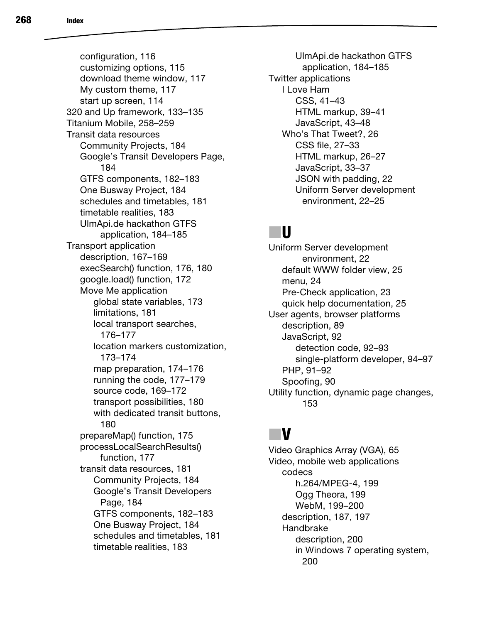configuration, 116 customizing options, 115 download theme window, 117 My custom theme, 117 start up screen, 114 320 and Up framework, 133–135 Titanium Mobile, 258–259 Transit data resources Community Projects, 184 Google's Transit Developers Page, 184 GTFS components, 182–183 One Busway Project, 184 schedules and timetables, 181 timetable realities, 183 UlmApi.de hackathon GTFS application, 184–185 Transport application description, 167–169 execSearch() function, 176, 180 google.load() function, 172 Move Me application global state variables, 173 limitations, 181 local transport searches, 176–177 location markers customization, 173–174 map preparation, 174–176 running the code, 177–179 source code, 169–172 transport possibilities, 180 with dedicated transit buttons, 180 prepareMap() function, 175 processLocalSearchResults() function, 177 transit data resources, 181 Community Projects, 184 Google's Transit Developers Page, 184 GTFS components, 182–183 One Busway Project, 184 schedules and timetables, 181 timetable realities, 183

UlmApi.de hackathon GTFS application, 184–185 Twitter applications I Love Ham CSS, 41–43 HTML markup, 39–41 JavaScript, 43–48 Who's That Tweet?, 26 CSS file, 27–33 HTML markup, 26–27 JavaScript, 33–37 JSON with padding, 22 Uniform Server development environment, 22–25

#### ■**U**

Uniform Server development environment, 22 default WWW folder view, 25 menu, 24 Pre-Check application, 23 quick help documentation, 25 User agents, browser platforms description, 89 JavaScript, 92 detection code, 92–93 single-platform developer, 94–97 PHP, 91–92 Spoofing, 90 Utility function, dynamic page changes, 153

## ■**V**

Video Graphics Array (VGA), 65 Video, mobile web applications codecs h.264/MPEG-4, 199 Ogg Theora, 199 WebM, 199–200 description, 187, 197 Handbrake description, 200 in Windows 7 operating system, 200